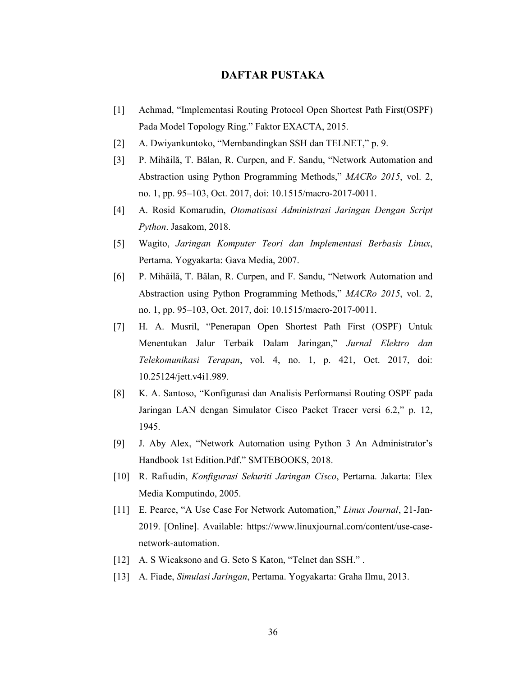## **DAFTAR PUSTAKA**

- [1] Achmad, "Implementasi Routing Protocol Open Shortest Path First(OSPF) Pada Model Topology Ring." Faktor EXACTA, 2015.
- [2] A. Dwiyankuntoko, "Membandingkan SSH dan TELNET," p. 9.
- [3] P. Mihăilă, T. Bălan, R. Curpen, and F. Sandu, "Network Automation and Abstraction using Python Programming Methods," *MACRo 2015*, vol. 2, no. 1, pp. 95–103, Oct. 2017, doi: 10.1515/macro-2017-0011.
- [4] A. Rosid Komarudin, *Otomatisasi Administrasi Jaringan Dengan Script Python*. Jasakom, 2018.
- [5] Wagito, *Jaringan Komputer Teori dan Implementasi Berbasis Linux*, Pertama. Yogyakarta: Gava Media, 2007.
- [6] P. Mihăilă, T. Bălan, R. Curpen, and F. Sandu, "Network Automation and Abstraction using Python Programming Methods," *MACRo 2015*, vol. 2, no. 1, pp. 95–103, Oct. 2017, doi: 10.1515/macro-2017-0011.
- [7] H. A. Musril, "Penerapan Open Shortest Path First (OSPF) Untuk Menentukan Jalur Terbaik Dalam Jaringan," *Jurnal Elektro dan Telekomunikasi Terapan*, vol. 4, no. 1, p. 421, Oct. 2017, doi: 10.25124/jett.v4i1.989.
- [8] K. A. Santoso, "Konfigurasi dan Analisis Performansi Routing OSPF pada Jaringan LAN dengan Simulator Cisco Packet Tracer versi 6.2," p. 12, 1945.
- [9] J. Aby Alex, "Network Automation using Python 3 An Administrator's Handbook 1st Edition.Pdf." SMTEBOOKS, 2018.
- [10] R. Rafiudin, *Konfigurasi Sekuriti Jaringan Cisco*, Pertama. Jakarta: Elex Media Komputindo, 2005.
- [11] E. Pearce, "A Use Case For Network Automation," *Linux Journal*, 21-Jan-2019. [Online]. Available: https://www.linuxjournal.com/content/use-casenetwork-automation.
- [12] A. S Wicaksono and G. Seto S Katon, "Telnet dan SSH.".
- [13] A. Fiade, *Simulasi Jaringan*, Pertama. Yogyakarta: Graha Ilmu, 2013.